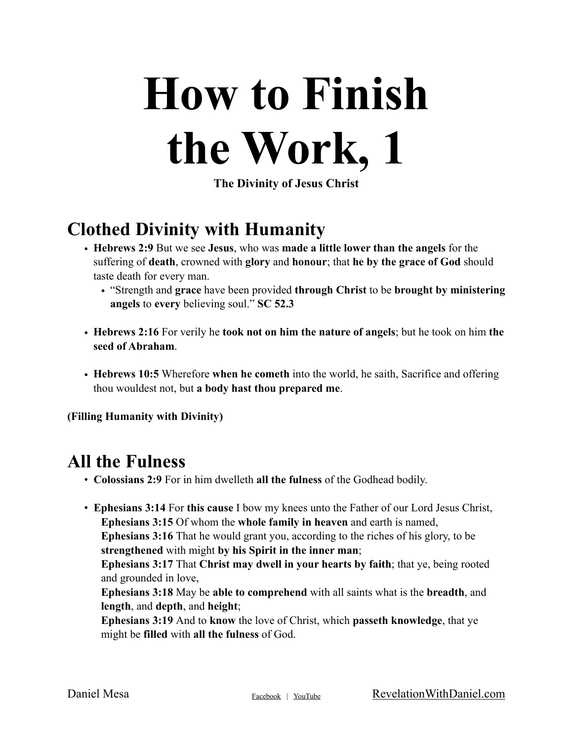# **How to Finish the Work, 1**

**The Divinity of Jesus Christ**

#### **Clothed Divinity with Humanity**

- **Hebrews 2:9** But we see **Jesus**, who was **made a little lower than the angels** for the suffering of **death**, crowned with **glory** and **honour**; that **he by the grace of God** should taste death for every man.
	- "Strength and **grace** have been provided **through Christ** to be **brought by ministering angels** to **every** believing soul." **SC 52.3**
- **Hebrews 2:16** For verily he **took not on him the nature of angels**; but he took on him **the seed of Abraham**.
- **Hebrews 10:5** Wherefore **when he cometh** into the world, he saith, Sacrifice and offering thou wouldest not, but **a body hast thou prepared me**.

**(Filling Humanity with Divinity)**

#### **All the Fulness**

- **Colossians 2:9** For in him dwelleth **all the fulness** of the Godhead bodily.
- **Ephesians 3:14** For **this cause** I bow my knees unto the Father of our Lord Jesus Christ, **Ephesians 3:15** Of whom the **whole family in heaven** and earth is named, **Ephesians 3:16** That he would grant you, according to the riches of his glory, to be **strengthened** with might **by his Spirit in the inner man**; **Ephesians 3:17** That **Christ may dwell in your hearts by faith**; that ye, being rooted and grounded in love, **Ephesians 3:18** May be **able to comprehend** with all saints what is the **breadth**, and **length**, and **depth**, and **height**; **Ephesians 3:19** And to **know** the love of Christ, which **passeth knowledge**, that ye might be **filled** with **all the fulness** of God.

Daniel Mesa [Facebook](http://Facebook.com/RevelationWithDaniel) | [YouTube](https://www.youtube.com/revelationwithdaniel) [RevelationWithDaniel.com](http://RevelationWithDaniel.com)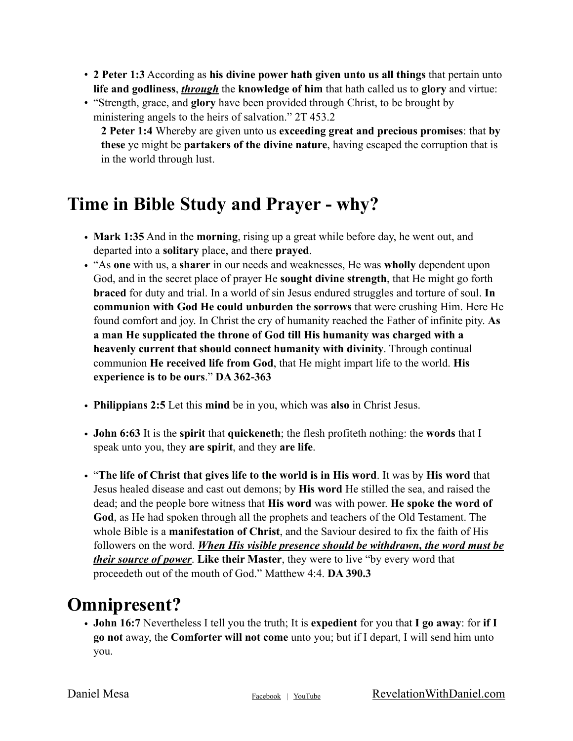- **2 Peter 1:3** According as **his divine power hath given unto us all things** that pertain unto **life and godliness**, *through* the **knowledge of him** that hath called us to **glory** and virtue:
- "Strength, grace, and **glory** have been provided through Christ, to be brought by ministering angels to the heirs of salvation." 2T 453.2 **2 Peter 1:4** Whereby are given unto us **exceeding great and precious promises**: that **by**

**these** ye might be **partakers of the divine nature**, having escaped the corruption that is in the world through lust.

#### **Time in Bible Study and Prayer - why?**

- **Mark 1:35** And in the **morning**, rising up a great while before day, he went out, and departed into a **solitary** place, and there **prayed**.
- "As **one** with us, a **sharer** in our needs and weaknesses, He was **wholly** dependent upon God, and in the secret place of prayer He **sought divine strength**, that He might go forth **braced** for duty and trial. In a world of sin Jesus endured struggles and torture of soul. **In communion with God He could unburden the sorrows** that were crushing Him. Here He found comfort and joy. In Christ the cry of humanity reached the Father of infinite pity. **As a man He supplicated the throne of God till His humanity was charged with a heavenly current that should connect humanity with divinity**. Through continual communion **He received life from God**, that He might impart life to the world. **His experience is to be ours**." **DA 362-363**
- **Philippians 2:5** Let this **mind** be in you, which was **also** in Christ Jesus.
- **John 6:63** It is the **spirit** that **quickeneth**; the flesh profiteth nothing: the **words** that I speak unto you, they **are spirit**, and they **are life**.
- "**The life of Christ that gives life to the world is in His word**. It was by **His word** that Jesus healed disease and cast out demons; by **His word** He stilled the sea, and raised the dead; and the people bore witness that **His word** was with power. **He spoke the word of God**, as He had spoken through all the prophets and teachers of the Old Testament. The whole Bible is a **manifestation of Christ**, and the Saviour desired to fix the faith of His followers on the word. *When His visible presence should be withdrawn, the word must be their source of power*. **Like their Master**, they were to live "by every word that proceedeth out of the mouth of God." Matthew 4:4. **DA 390.3**

### **Omnipresent?**

• **John 16:7** Nevertheless I tell you the truth; It is **expedient** for you that **I go away**: for **if I go not** away, the **Comforter will not come** unto you; but if I depart, I will send him unto you.